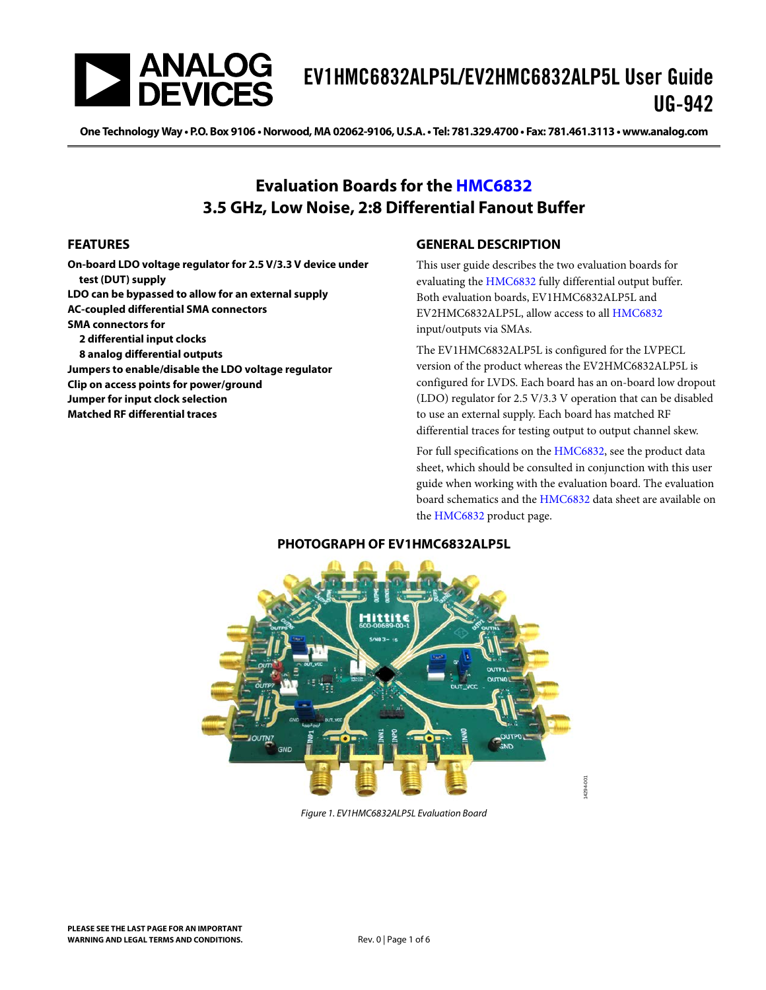

# EV1HMC6832ALP5L/EV2HMC6832ALP5L User Guide UG-942

One Technology Way · P.O. Box 9106 · Norwood, MA 02062-9106, U.S.A. · Tel: 781.329.4700 · Fax: 781.461.3113 · www.analog.com

### **Evaluation Boards for the [HMC6832](http://www.analog.com/hmc6832?doc=ev1hmc6832alp5l-ev2hmc6832alp5l-ug-942.pdf) 3.5 GHz, Low Noise, 2:8 Differential Fanout Buffer**

### <span id="page-0-0"></span>**FEATURES**

**On-board LDO voltage regulator for 2.5 V/3.3 V device under test (DUT) supply LDO can be bypassed to allow for an external supply AC-coupled differential SMA connectors SMA connectors for 2 differential input clocks 8 analog differential outputs Jumpers to enable/disable the LDO voltage regulator Clip on access points for power/ground Jumper for input clock selection**

<span id="page-0-2"></span>**Matched RF differential traces**

### <span id="page-0-1"></span>**GENERAL DESCRIPTION**

This user guide describes the two evaluation boards for evaluating th[e HMC6832](http://www.analog.com/hmc6832?doc=ev1hmc6832alp5l-ev2hmc6832alp5l-ug-942.pdf) fully differential output buffer. Both evaluation boards, EV1HMC6832ALP5L and EV2HMC6832ALP5L, allow access to al[l HMC6832](http://www.analog.com/hmc6832?doc=ev1hmc6832alp5l-ev2hmc6832alp5l-ug-942.pdf) input/outputs via SMAs.

The EV1HMC6832ALP5L is configured for the LVPECL version of the product whereas the EV2HMC6832ALP5L is configured for LVDS. Each board has an on-board low dropout (LDO) regulator for 2.5 V/3.3 V operation that can be disabled to use an external supply. Each board has matched RF differential traces for testing output to output channel skew.

For full specifications on the [HMC6832,](http://www.analog.com/hmc6832?doc=ev1hmc6832alp5l-ev2hmc6832alp5l-ug-942.pdf) see the product data sheet, which should be consulted in conjunction with this user guide when working with the evaluation board. The evaluation board schematics and th[e HMC6832](http://www.analog.com/hmc6832?doc=ev1hmc6832alp5l-ev2hmc6832alp5l-ug-942.pdf) data sheet are available on the [HMC6832](http://www.analog.com/hmc6832?doc=ev1hmc6832alp5l-ev2hmc6832alp5l-ug-942.pdf) product page.

#### **PHOTOGRAPH OF EV1HMC6832ALP5L**



*Figure 1. EV1HMC6832ALP5L Evaluation Board*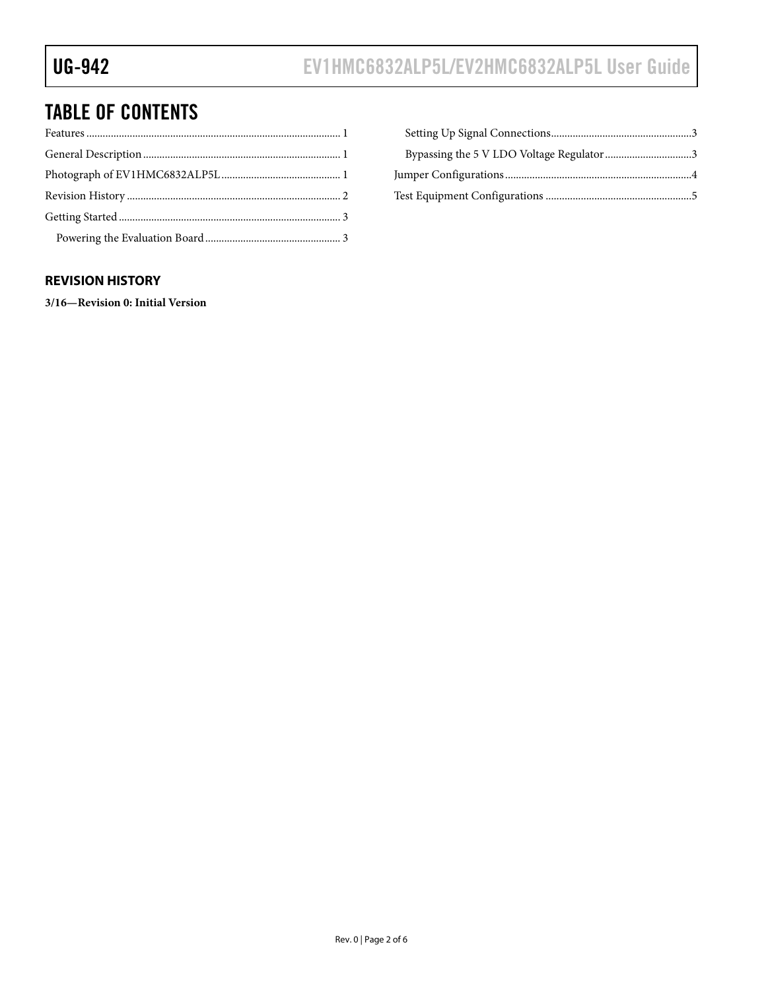# TABLE OF CONTENTS

### <span id="page-1-0"></span>**REVISION HISTORY**

**3/16—Revision 0: Initial Version**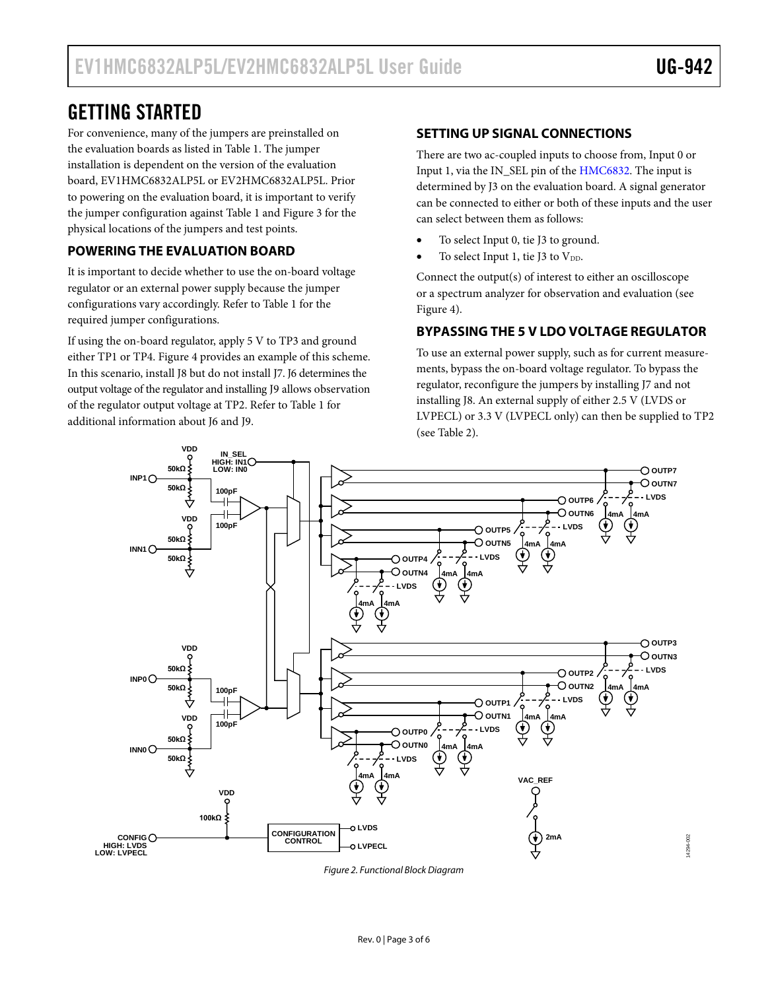14294-002

4294-002

## <span id="page-2-0"></span>GETTING STARTED

For convenience, many of the jumpers are preinstalled on the evaluation boards as listed in [Table 1.](#page-3-1) The jumper installation is dependent on the version of the evaluation board, EV1HMC6832ALP5L or EV2HMC6832ALP5L. Prior to powering on the evaluation board, it is important to verify the jumper configuration agains[t Table 1](#page-3-1) an[d Figure 3](#page-4-1) for the physical locations of the jumpers and test points.

### <span id="page-2-1"></span>**POWERING THE EVALUATION BOARD**

It is important to decide whether to use the on-board voltage regulator or an external power supply because the jumper configurations vary accordingly. Refer to [Table 1](#page-3-1) for the required jumper configurations.

If using the on-board regulator, apply 5 V to TP3 and ground either TP1 or TP4. [Figure 4](#page-4-2) provides an example of this scheme. In this scenario, install J8 but do not install J7. J6 determines the output voltage of the regulator and installing J9 allows observation of the regulator output voltage at TP2. Refer t[o Table 1](#page-3-1) for additional information about J6 and J9.

### <span id="page-2-2"></span>**SETTING UP SIGNAL CONNECTIONS**

There are two ac-coupled inputs to choose from, Input 0 or Input 1, via the IN\_SEL pin of th[e HMC6832.](http://www.analog.com/hmc6832?doc=ev1hmc6832alp5l-ev2hmc6832alp5l-ug-942.pdf) The input is determined by J3 on the evaluation board. A signal generator can be connected to either or both of these inputs and the user can select between them as follows:

- To select Input 0, tie J3 to ground.
- To select Input 1, tie J3 to  $V_{DD}$ .

Connect the output(s) of interest to either an oscilloscope or a spectrum analyzer for observation and evaluation (see [Figure 4\)](#page-4-2).

### <span id="page-2-3"></span>**BYPASSING THE 5 V LDO VOLTAGE REGULATOR**

To use an external power supply, such as for current measurements, bypass the on-board voltage regulator. To bypass the regulator, reconfigure the jumpers by installing J7 and not installing J8. An external supply of either 2.5 V (LVDS or LVPECL) or 3.3 V (LVPECL only) can then be supplied to TP2 (see [Table 2\)](#page-3-2).



*Figure 2. Functional Block Diagram*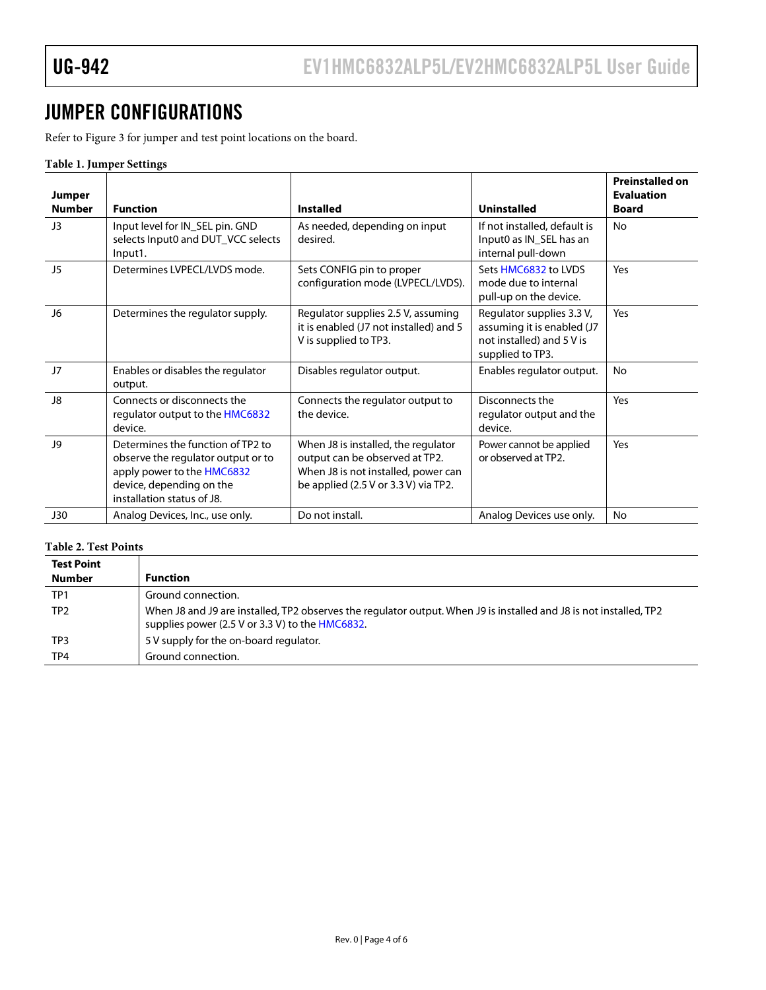# <span id="page-3-0"></span>JUMPER CONFIGURATIONS

Refer t[o Figure 3](#page-4-1) for jumper and test point locations on the board.

#### <span id="page-3-1"></span>**Table 1. Jumper Settings**

| Jumper<br><b>Number</b> | <b>Function</b>                                                                                                                                                 | <b>Installed</b>                                                                                                                                       | <b>Uninstalled</b>                                                                                       | <b>Preinstalled on</b><br><b>Evaluation</b><br><b>Board</b> |
|-------------------------|-----------------------------------------------------------------------------------------------------------------------------------------------------------------|--------------------------------------------------------------------------------------------------------------------------------------------------------|----------------------------------------------------------------------------------------------------------|-------------------------------------------------------------|
| J3                      | Input level for IN_SEL pin. GND<br>selects Input0 and DUT_VCC selects<br>Input1.                                                                                | As needed, depending on input<br>desired.                                                                                                              | If not installed, default is<br>Input0 as IN_SEL has an<br>internal pull-down                            | <b>No</b>                                                   |
| J5                      | Determines LVPFCL/LVDS mode.                                                                                                                                    | Sets CONFIG pin to proper<br>configuration mode (LVPECL/LVDS).                                                                                         | Sets HMC6832 to LVDS<br>mode due to internal<br>pull-up on the device.                                   | Yes                                                         |
| J6                      | Determines the regulator supply.                                                                                                                                | Regulator supplies 2.5 V, assuming<br>it is enabled (J7 not installed) and 5<br>V is supplied to TP3.                                                  | Regulator supplies 3.3 V,<br>assuming it is enabled (J7<br>not installed) and 5 V is<br>supplied to TP3. | Yes                                                         |
| J7                      | Enables or disables the regulator<br>output.                                                                                                                    | Disables regulator output.                                                                                                                             | Enables regulator output.                                                                                | <b>No</b>                                                   |
| J8                      | Connects or disconnects the<br>regulator output to the HMC6832<br>device.                                                                                       | Connects the regulator output to<br>the device.                                                                                                        | Disconnects the<br>regulator output and the<br>device.                                                   | Yes                                                         |
| <b>J9</b>               | Determines the function of TP2 to<br>observe the regulator output or to<br>apply power to the HMC6832<br>device, depending on the<br>installation status of J8. | When J8 is installed, the regulator<br>output can be observed at TP2.<br>When J8 is not installed, power can<br>be applied $(2.5 V or 3.3 V)$ via TP2. | Power cannot be applied<br>or observed at TP2.                                                           | Yes                                                         |
| <b>J30</b>              | Analog Devices, Inc., use only.                                                                                                                                 | Do not install.                                                                                                                                        | Analog Devices use only.                                                                                 | <b>No</b>                                                   |

#### <span id="page-3-2"></span>**Table 2. Test Points** ┑

| <b>Test Point</b> |                                                                                                                                                                       |
|-------------------|-----------------------------------------------------------------------------------------------------------------------------------------------------------------------|
| Number            | <b>Function</b>                                                                                                                                                       |
| TP <sub>1</sub>   | Ground connection.                                                                                                                                                    |
| TP <sub>2</sub>   | When J8 and J9 are installed, TP2 observes the regulator output. When J9 is installed and J8 is not installed, TP2<br>supplies power (2.5 V or 3.3 V) to the HMC6832. |
| TP3               | 5 V supply for the on-board regulator.                                                                                                                                |
| TP4               | Ground connection.                                                                                                                                                    |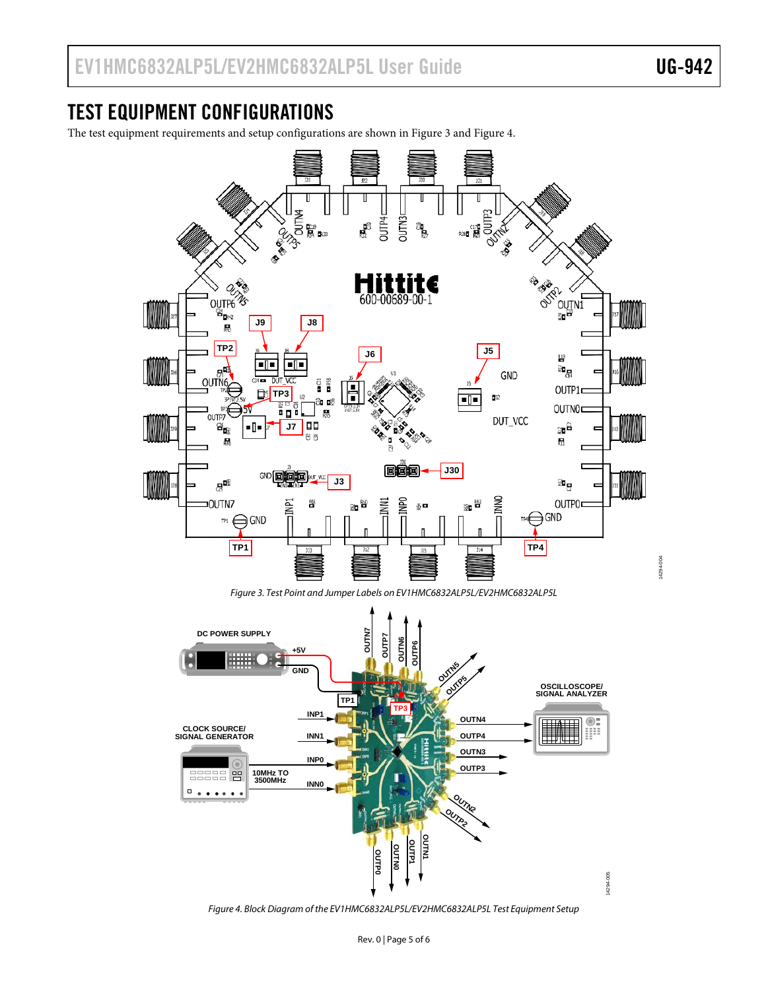## <span id="page-4-0"></span>TEST EQUIPMENT CONFIGURATIONS

The test equipment requirements and setup configurations are shown in [Figure 3](#page-4-1) and [Figure 4.](#page-4-2)



<span id="page-4-1"></span>

<span id="page-4-2"></span>*Figure 4. Block Diagram of the EV1HMC6832ALP5L/EV2HMC6832ALP5L Test Equipment Setup*